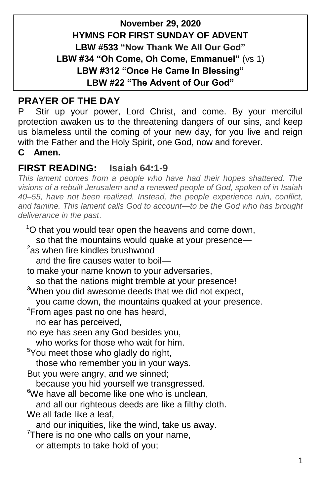## **November 29, 2020 HYMNS FOR FIRST SUNDAY OF ADVENT LBW #533 "Now Thank We All Our God" LBW #34 "Oh Come, Oh Come, Emmanuel"** (vs 1) **LBW #312 "Once He Came In Blessing" LBW #22 "The Advent of Our God"**

## **PRAYER OF THE DAY**

P Stir up your power, Lord Christ, and come. By your merciful protection awaken us to the threatening dangers of our sins, and keep us blameless until the coming of your new day, for you live and reign with the Father and the Holy Spirit, one God, now and forever.

**C Amen.**

### **FIRST READING: Isaiah 64:1-9**

*This lament comes from a people who have had their hopes shattered. The visions of a rebuilt Jerusalem and a renewed people of God, spoken of in Isaiah 40–55, have not been realized. Instead, the people experience ruin, conflict, and famine. This lament calls God to account—to be the God who has brought deliverance in the past*.

 $1^{\circ}$ O that you would tear open the heavens and come down, so that the mountains would quake at your presence- $2$ as when fire kindles brushwood and the fire causes water to boil to make your name known to your adversaries, so that the nations might tremble at your presence! <sup>3</sup>When you did awesome deeds that we did not expect, you came down, the mountains quaked at your presence. <sup>4</sup>From ages past no one has heard, no ear has perceived, no eye has seen any God besides you, who works for those who wait for him. <sup>5</sup>You meet those who gladly do right, those who remember you in your ways. But you were angry, and we sinned; because you hid yourself we transgressed.  $6$ We have all become like one who is unclean. and all our righteous deeds are like a filthy cloth. We all fade like a leaf, and our iniquities, like the wind, take us away.  $7$ There is no one who calls on your name, or attempts to take hold of you;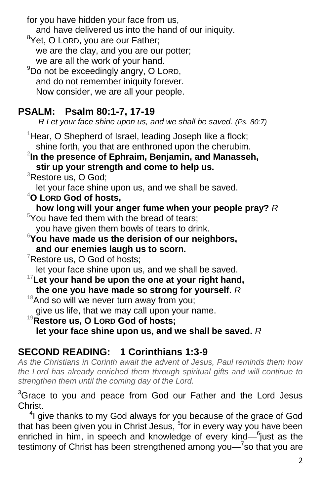for you have hidden your face from us,

and have delivered us into the hand of our iniquity.

<sup>8</sup>Yet, O LORD, you are our Father; we are the clay, and you are our potter; we are all the work of your hand.

 $9$ Do not be exceedingly angry, O LORD, and do not remember iniquity forever. Now consider, we are all your people.

## **PSALM: Psalm 80:1-7, 17-19**

 *R Let your face shine upon us, and we shall be saved. (Ps. 80:7)*

 $1$ Hear, O Shepherd of Israel, leading Joseph like a flock; shine forth, you that are enthroned upon the cherubim.

## 2 **In the presence of Ephraim, Benjamin, and Manasseh, stir up your strength and come to help us.**

<sup>3</sup>Restore us, O God;

let your face shine upon us, and we shall be saved.

<sup>4</sup>**O LORD God of hosts,**

**how long will your anger fume when your people pray?** *R*

 $5$ You have fed them with the bread of tears;

you have given them bowls of tears to drink.

<sup>6</sup>**You have made us the derision of our neighbors, and our enemies laugh us to scorn.**

 $7$ Restore us, O God of hosts;

let your face shine upon us, and we shall be saved.

<sup>17</sup>**Let your hand be upon the one at your right hand, the one you have made so strong for yourself.** *R*

 $18$ And so will we never turn away from you;

give us life, that we may call upon your name.

<sup>19</sup>**Restore us, O LORD God of hosts;**

**let your face shine upon us, and we shall be saved.** *R*

# **SECOND READING: 1 Corinthians 1:3-9**

*As the Christians in Corinth await the advent of Jesus, Paul reminds them how the Lord has already enriched them through spiritual gifts and will continue to strengthen them until the coming day of the Lord.*

<sup>3</sup>Grace to you and peace from God our Father and the Lord Jesus Christ.

<sup>4</sup>I give thanks to my God always for you because of the grace of God that has been given you in Christ Jesus, <sup>5</sup>for in every way you have been enriched in him, in speech and knowledge of every kind— $6$ just as the testimony of Christ has been strengthened among you—<sup>7</sup>so that you are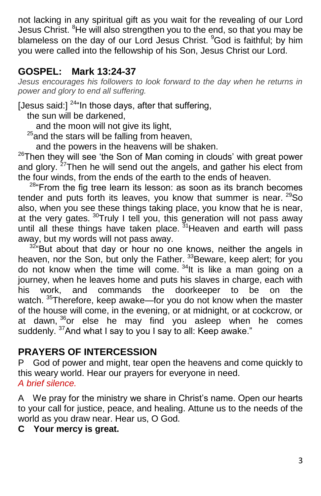not lacking in any spiritual gift as you wait for the revealing of our Lord Jesus Christ. <sup>8</sup>He will also strengthen you to the end, so that you may be blameless on the day of our Lord Jesus Christ. <sup>9</sup>God is faithful; by him you were called into the fellowship of his Son, Jesus Christ our Lord.

## **GOSPEL: Mark 13:24-37**

Jesus encourages his followers to look forward to the day when he returns in *power and glory to end all suffering.*

[Jesus said:]  $^{24}$ "In those days, after that suffering,

the sun will be darkened,

and the moon will not give its light,

 $25$  and the stars will be falling from heaven,

and the powers in the heavens will be shaken.

 $26$ Then they will see 'the Son of Man coming in clouds' with great power and glory.<sup>27</sup>Then he will send out the angels, and gather his elect from the four winds, from the ends of the earth to the ends of heaven.

 $28$ "From the fig tree learn its lesson: as soon as its branch becomes tender and puts forth its leaves, you know that summer is near. <sup>29</sup>So also, when you see these things taking place, you know that he is near, at the very gates. <sup>30</sup>Truly I tell you, this generation will not pass away until all these things have taken place.  $31$ Heaven and earth will pass away, but my words will not pass away.

 $32^{\circ}$  But about that day or hour no one knows, neither the angels in heaven, nor the Son, but only the Father. <sup>33</sup> Beware, keep alert; for you do not know when the time will come.  $34$ It is like a man going on a journey, when he leaves home and puts his slaves in charge, each with his work, and commands the doorkeeper to be on the watch. <sup>35</sup>Therefore, keep awake—for you do not know when the master of the house will come, in the evening, or at midnight, or at cockcrow, or at dawn, <sup>36</sup>or else he may find you asleep when he comes suddenly. <sup>37</sup>And what I say to you I say to all: Keep awake."

## **PRAYERS OF INTERCESSION**

P God of power and might, tear open the heavens and come quickly to this weary world. Hear our prayers for everyone in need. *A brief silence.*

A We pray for the ministry we share in Christ's name. Open our hearts to your call for justice, peace, and healing. Attune us to the needs of the world as you draw near. Hear us, O God.

#### **C Your mercy is great.**